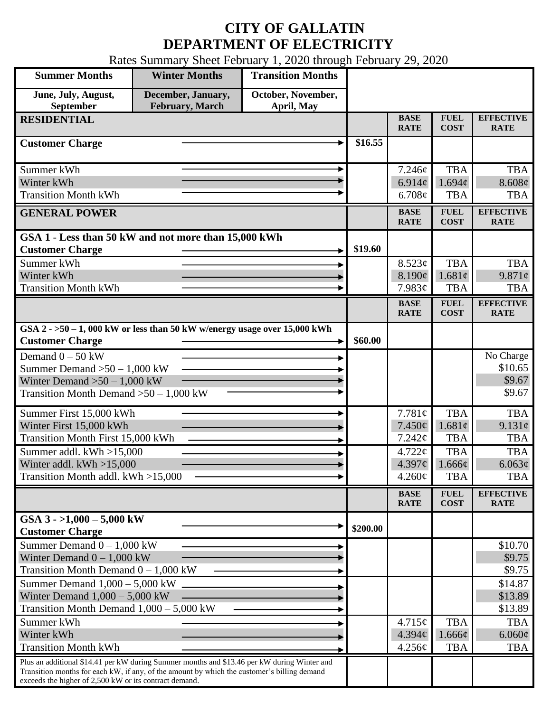## **CITY OF GALLATIN DEPARTMENT OF ELECTRICITY**

Rates Summary Sheet February 1, 2020 through February 29, 2020

| <b>Summer Months</b>                                                                                                                                                                                                                                 | <b>Winter Months</b>                  | <b>Transition Months</b>         |          |                            |                            |                                 |
|------------------------------------------------------------------------------------------------------------------------------------------------------------------------------------------------------------------------------------------------------|---------------------------------------|----------------------------------|----------|----------------------------|----------------------------|---------------------------------|
| June, July, August,<br>September                                                                                                                                                                                                                     | December, January,<br>February, March | October, November,<br>April, May |          |                            |                            |                                 |
| <b>RESIDENTIAL</b>                                                                                                                                                                                                                                   |                                       |                                  |          | <b>BASE</b><br><b>RATE</b> | <b>FUEL</b><br><b>COST</b> | <b>EFFECTIVE</b><br><b>RATE</b> |
| <b>Customer Charge</b>                                                                                                                                                                                                                               |                                       |                                  | \$16.55  |                            |                            |                                 |
| Summer kWh                                                                                                                                                                                                                                           |                                       |                                  |          | 7.246¢                     | <b>TBA</b>                 | <b>TBA</b>                      |
| Winter kWh                                                                                                                                                                                                                                           |                                       |                                  |          | 6.914c                     | 1.694c                     | 8.608¢                          |
| <b>Transition Month kWh</b>                                                                                                                                                                                                                          |                                       |                                  |          | 6.708¢                     | <b>TBA</b>                 | <b>TBA</b>                      |
| <b>GENERAL POWER</b>                                                                                                                                                                                                                                 |                                       |                                  |          | <b>BASE</b><br><b>RATE</b> | <b>FUEL</b><br><b>COST</b> | <b>EFFECTIVE</b><br><b>RATE</b> |
| GSA 1 - Less than 50 kW and not more than 15,000 kWh                                                                                                                                                                                                 |                                       |                                  |          |                            |                            |                                 |
| <b>Customer Charge</b>                                                                                                                                                                                                                               |                                       |                                  | \$19.60  |                            |                            |                                 |
| Summer kWh                                                                                                                                                                                                                                           |                                       |                                  |          | 8.523¢                     | <b>TBA</b>                 | <b>TBA</b>                      |
| Winter kWh<br><b>Transition Month kWh</b>                                                                                                                                                                                                            |                                       |                                  |          | 8.190¢<br>7.983¢           | 1.681c<br><b>TBA</b>       | 9.871¢<br><b>TBA</b>            |
|                                                                                                                                                                                                                                                      |                                       |                                  |          | <b>BASE</b>                | <b>FUEL</b>                | <b>EFFECTIVE</b>                |
|                                                                                                                                                                                                                                                      |                                       |                                  |          | <b>RATE</b>                | <b>COST</b>                | <b>RATE</b>                     |
| GSA $2 - 50 - 1$ , 000 kW or less than 50 kW w/energy usage over 15,000 kWh<br><b>Customer Charge</b>                                                                                                                                                |                                       |                                  | \$60.00  |                            |                            |                                 |
| Demand $0 - 50$ kW                                                                                                                                                                                                                                   |                                       |                                  |          |                            |                            | No Charge                       |
| Summer Demand $>50 - 1,000$ kW                                                                                                                                                                                                                       |                                       |                                  |          |                            |                            | \$10.65                         |
| Winter Demand $>50-1,000$ kW                                                                                                                                                                                                                         |                                       |                                  |          |                            |                            | \$9.67                          |
| Transition Month Demand $>50-1,000$ kW                                                                                                                                                                                                               |                                       |                                  |          |                            |                            | \$9.67                          |
| Summer First 15,000 kWh                                                                                                                                                                                                                              |                                       |                                  |          | 7.781¢                     | <b>TBA</b>                 | <b>TBA</b>                      |
| Winter First 15,000 kWh                                                                                                                                                                                                                              |                                       |                                  |          | 7.450¢                     | 1.681¢                     | 9.131¢                          |
| <b>Transition Month First 15,000 kWh</b>                                                                                                                                                                                                             |                                       |                                  |          | 7.242¢                     | <b>TBA</b>                 | <b>TBA</b>                      |
| Summer addl. kWh >15,000                                                                                                                                                                                                                             |                                       |                                  |          | $4.722\phi$                | <b>TBA</b>                 | <b>TBA</b><br>6.063¢            |
| Winter addl. $kWh > 15,000$<br>Transition Month addl. kWh >15,000                                                                                                                                                                                    |                                       |                                  |          | 4.397c<br>4.260¢           | $1.666\phi$<br><b>TBA</b>  | <b>TBA</b>                      |
|                                                                                                                                                                                                                                                      |                                       |                                  |          |                            |                            |                                 |
|                                                                                                                                                                                                                                                      |                                       |                                  |          | <b>BASE</b><br><b>RATE</b> | <b>FUEL</b><br><b>COST</b> | <b>EFFECTIVE</b><br><b>RATE</b> |
| GSA $3 - 1,000 - 5,000$ kW<br><b>Customer Charge</b>                                                                                                                                                                                                 |                                       |                                  | \$200.00 |                            |                            |                                 |
| Summer Demand $0 - 1,000$ kW                                                                                                                                                                                                                         |                                       |                                  |          |                            |                            | \$10.70                         |
| Winter Demand $0 - 1,000$ kW                                                                                                                                                                                                                         |                                       |                                  |          |                            |                            | \$9.75                          |
| Transition Month Demand $0 - 1,000$ kW                                                                                                                                                                                                               |                                       |                                  |          |                            |                            | \$9.75                          |
| Summer Demand $1,000 - 5,000$ kW<br>Winter Demand $1,000 - 5,000$ kW                                                                                                                                                                                 |                                       |                                  |          |                            |                            | \$14.87                         |
| Transition Month Demand $1,000 - 5,000$ kW                                                                                                                                                                                                           |                                       |                                  |          |                            |                            | \$13.89<br>\$13.89              |
| Summer kWh                                                                                                                                                                                                                                           |                                       |                                  |          | 4.715¢                     | <b>TBA</b>                 | <b>TBA</b>                      |
| Winter kWh                                                                                                                                                                                                                                           |                                       |                                  |          | 4.394¢                     | 1.666¢                     | $6.060\phi$                     |
| <b>Transition Month kWh</b>                                                                                                                                                                                                                          |                                       |                                  |          | 4.256¢                     | <b>TBA</b>                 | <b>TBA</b>                      |
| Plus an additional \$14.41 per kW during Summer months and \$13.46 per kW during Winter and<br>Transition months for each kW, if any, of the amount by which the customer's billing demand<br>exceeds the higher of 2,500 kW or its contract demand. |                                       |                                  |          |                            |                            |                                 |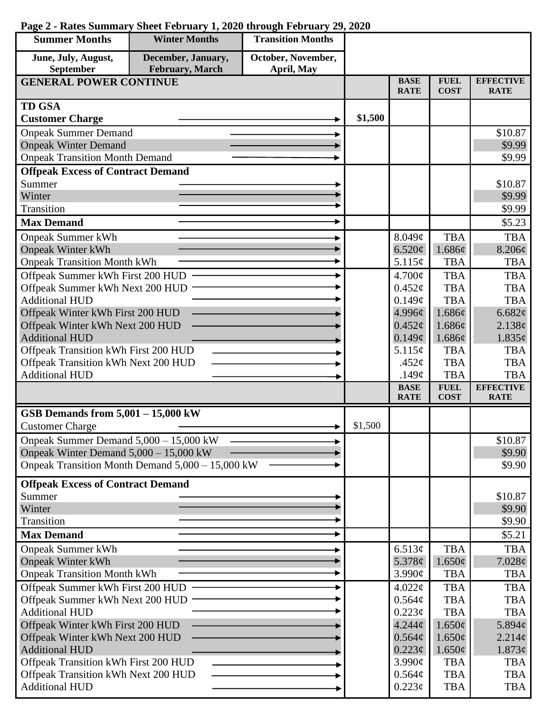| <b>Summer Months</b>                     | <b>Winter Months</b>                             | <b>Transition Months</b> |         |                            |                            |                                 |
|------------------------------------------|--------------------------------------------------|--------------------------|---------|----------------------------|----------------------------|---------------------------------|
| June, July, August,                      | December, January,                               | October, November,       |         |                            |                            |                                 |
| September                                | February, March                                  | April, May               |         |                            |                            |                                 |
| <b>GENERAL POWER CONTINUE</b>            |                                                  |                          |         | <b>BASE</b><br><b>RATE</b> | <b>FUEL</b><br><b>COST</b> | <b>EFFECTIVE</b><br><b>RATE</b> |
| <b>TD GSA</b>                            |                                                  |                          |         |                            |                            |                                 |
| <b>Customer Charge</b>                   |                                                  |                          | \$1,500 |                            |                            |                                 |
| <b>Onpeak Summer Demand</b>              |                                                  |                          |         |                            |                            | \$10.87                         |
| <b>Onpeak Winter Demand</b>              |                                                  |                          |         |                            |                            | \$9.99                          |
| <b>Onpeak Transition Month Demand</b>    |                                                  |                          |         |                            |                            | \$9.99                          |
| <b>Offpeak Excess of Contract Demand</b> |                                                  |                          |         |                            |                            |                                 |
| Summer                                   |                                                  |                          |         |                            |                            | \$10.87                         |
| Winter                                   |                                                  |                          |         |                            |                            | \$9.99                          |
| Transition                               |                                                  |                          |         |                            |                            | \$9.99                          |
| <b>Max Demand</b>                        |                                                  |                          |         |                            |                            | \$5.23                          |
| <b>Onpeak Summer kWh</b>                 |                                                  |                          |         | $8.049\!\!\not\!\epsilon$  | <b>TBA</b>                 | <b>TBA</b>                      |
| <b>Onpeak Winter kWh</b>                 |                                                  |                          |         | 6.520¢                     | 1.686¢                     | 8.206¢                          |
| <b>Onpeak Transition Month kWh</b>       |                                                  |                          |         | 5.115¢                     | <b>TBA</b>                 | <b>TBA</b>                      |
| Offpeak Summer kWh First 200 HUD         |                                                  |                          |         | 4.700¢                     | <b>TBA</b>                 | <b>TBA</b>                      |
| Offpeak Summer kWh Next 200 HUD          |                                                  |                          |         | $0.452\mathcal{C}$         | <b>TBA</b>                 | <b>TBA</b>                      |
| <b>Additional HUD</b>                    |                                                  |                          |         | 0.149¢                     | <b>TBA</b>                 | <b>TBA</b>                      |
| Offpeak Winter kWh First 200 HUD         |                                                  |                          |         | 4.996¢                     | 1.686¢                     | 6.682¢                          |
| Offpeak Winter kWh Next 200 HUD          |                                                  |                          |         | $0.452\epsilon$            | 1.686¢                     | 2.138¢                          |
| <b>Additional HUD</b>                    |                                                  |                          |         | 0.149¢                     | 1.686¢                     | $1.835\phi$                     |
| Offpeak Transition kWh First 200 HUD     |                                                  |                          |         | 5.115¢                     | <b>TBA</b>                 | <b>TBA</b>                      |
| Offpeak Transition kWh Next 200 HUD      |                                                  |                          |         | .452 $\mathfrak{c}$        | <b>TBA</b>                 | <b>TBA</b>                      |
| <b>Additional HUD</b>                    |                                                  |                          |         | .149 $\phi$                | <b>TBA</b>                 | <b>TBA</b>                      |
|                                          |                                                  |                          |         | <b>BASE</b><br><b>RATE</b> | <b>FUEL</b><br><b>COST</b> | <b>EFFECTIVE</b><br><b>RATE</b> |
| GSB Demands from $5,001 - 15,000$ kW     |                                                  |                          |         |                            |                            |                                 |
| <b>Customer Charge</b>                   |                                                  |                          | \$1,500 |                            |                            |                                 |
| Onpeak Summer Demand 5,000 - 15,000 kW   |                                                  |                          |         |                            |                            | \$10.87                         |
| Onpeak Winter Demand $5,000 - 15,000$ kW |                                                  |                          |         |                            |                            | \$9.90                          |
|                                          | Onpeak Transition Month Demand 5,000 – 15,000 kW |                          |         |                            |                            | \$9.90                          |
| <b>Offpeak Excess of Contract Demand</b> |                                                  |                          |         |                            |                            |                                 |
| Summer                                   |                                                  |                          |         |                            |                            | \$10.87                         |
| Winter                                   |                                                  |                          |         |                            |                            | \$9.90                          |
| Transition                               |                                                  |                          |         |                            |                            | \$9.90                          |
| <b>Max Demand</b>                        |                                                  |                          |         |                            |                            | \$5.21                          |
| <b>Onpeak Summer kWh</b>                 |                                                  |                          |         | 6.513¢                     | <b>TBA</b>                 | <b>TBA</b>                      |
| <b>Onpeak Winter kWh</b>                 |                                                  |                          |         | 5.378 $\phi$               | 1.650¢                     | 7.028¢                          |
| <b>Onpeak Transition Month kWh</b>       |                                                  |                          |         | 3.990¢                     | <b>TBA</b>                 | <b>TBA</b>                      |
| Offpeak Summer kWh First 200 HUD         |                                                  |                          |         | 4.022¢                     | <b>TBA</b>                 | <b>TBA</b>                      |
| Offpeak Summer kWh Next 200 HUD          |                                                  |                          |         | 0.564¢                     | <b>TBA</b>                 | <b>TBA</b>                      |
| <b>Additional HUD</b>                    |                                                  |                          |         | 0.223¢                     | <b>TBA</b>                 | <b>TBA</b>                      |
| Offpeak Winter kWh First 200 HUD         |                                                  |                          |         | $4.244\phi$                | $1.650\phi$                | 5.894 $\phi$                    |
| Offpeak Winter kWh Next 200 HUD          |                                                  |                          |         | 0.564¢                     | $1.650\phi$                | 2.214¢                          |
| <b>Additional HUD</b>                    |                                                  |                          |         | $0.223\phi$                | 1.650¢                     | $1.873\phi$                     |
| Offpeak Transition kWh First 200 HUD     |                                                  |                          |         | 3.990¢                     | <b>TBA</b>                 | <b>TBA</b>                      |
| Offpeak Transition kWh Next 200 HUD      |                                                  |                          |         | 0.564¢                     | <b>TBA</b>                 | <b>TBA</b>                      |
| <b>Additional HUD</b>                    |                                                  |                          |         | $0.223\phi$                | <b>TBA</b>                 | TBA                             |

## **Page 2 - Rates Summary Sheet February 1, 2020 through February 29, 2020**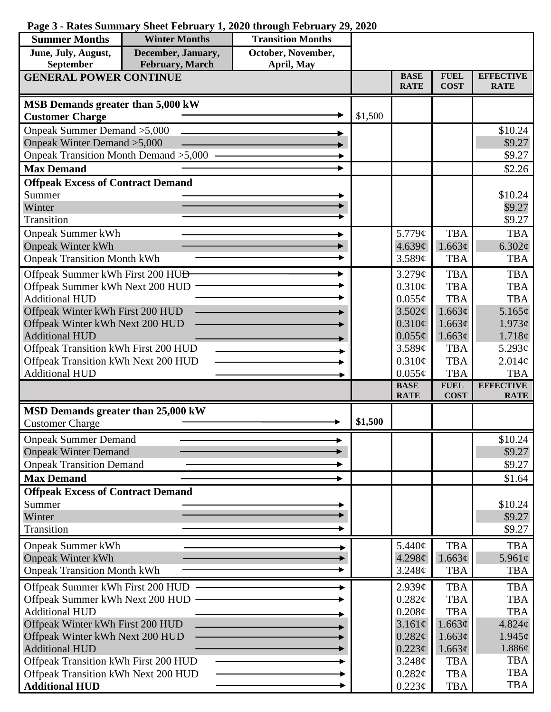## **Page 3 - Rates Summary Sheet February 1, 2020 through February 29, 2020**

| <b>Summer Months</b>                                         | <b>Winter Months</b> | <b>Transition Months</b> |         |                            |                            |                                 |
|--------------------------------------------------------------|----------------------|--------------------------|---------|----------------------------|----------------------------|---------------------------------|
| June, July, August,                                          | December, January,   | October, November,       |         |                            |                            |                                 |
| <b>February</b> , March<br>September<br>April, May           |                      |                          |         |                            |                            |                                 |
| <b>GENERAL POWER CONTINUE</b>                                |                      |                          |         | <b>BASE</b><br><b>RATE</b> | <b>FUEL</b><br><b>COST</b> | <b>EFFECTIVE</b><br><b>RATE</b> |
| MSB Demands greater than 5,000 kW                            |                      |                          |         |                            |                            |                                 |
| <b>Customer Charge</b>                                       |                      |                          | \$1,500 |                            |                            |                                 |
| Onpeak Summer Demand > 5,000                                 |                      |                          |         |                            | \$10.24                    |                                 |
| Onpeak Winter Demand > 5,000                                 |                      |                          |         |                            |                            | \$9.27                          |
| Onpeak Transition Month Demand > 5,000                       |                      |                          |         |                            |                            | \$9.27                          |
| <b>Max Demand</b>                                            |                      |                          |         |                            |                            | \$2.26                          |
| <b>Offpeak Excess of Contract Demand</b>                     |                      |                          |         |                            |                            |                                 |
| Summer                                                       |                      |                          |         |                            |                            | \$10.24                         |
| Winter                                                       |                      |                          |         |                            |                            | \$9.27                          |
| Transition                                                   |                      |                          |         |                            |                            | \$9.27                          |
| <b>Onpeak Summer kWh</b>                                     |                      |                          |         | 5.779¢                     | <b>TBA</b>                 | <b>TBA</b>                      |
| <b>Onpeak Winter kWh</b>                                     |                      |                          |         | 4.639¢                     | 1.663¢                     | $6.302\ell$                     |
| <b>Onpeak Transition Month kWh</b>                           |                      |                          |         | 3.589¢                     | <b>TBA</b>                 | <b>TBA</b>                      |
| Offpeak Summer kWh First 200 HU <del>D</del>                 |                      |                          |         | 3.279¢                     | <b>TBA</b>                 | <b>TBA</b>                      |
| Offpeak Summer kWh Next 200 HUD                              |                      |                          |         | 0.310¢                     | <b>TBA</b>                 | <b>TBA</b>                      |
| <b>Additional HUD</b>                                        |                      |                          |         | $0.055\phi$                | <b>TBA</b>                 | <b>TBA</b>                      |
| Offpeak Winter kWh First 200 HUD                             |                      |                          |         | 3.502¢                     | 1.663¢                     | 5.165¢                          |
| Offpeak Winter kWh Next 200 HUD                              |                      |                          |         | $0.310\phi$                | 1.663¢                     | $1.973\ell$                     |
| <b>Additional HUD</b>                                        |                      |                          |         | $0.055\phi$                | 1.663¢                     | 1.718¢                          |
| Offpeak Transition kWh First 200 HUD                         |                      |                          |         | 3.589¢                     | <b>TBA</b>                 | 5.293 $\phi$                    |
| Offpeak Transition kWh Next 200 HUD<br><b>Additional HUD</b> |                      |                          |         | 0.310¢<br>$0.055\phi$      | <b>TBA</b><br><b>TBA</b>   | 2.014¢<br><b>TBA</b>            |
|                                                              |                      |                          |         | <b>BASE</b>                | <b>FUEL</b>                | <b>EFFECTIVE</b>                |
|                                                              |                      |                          |         | <b>RATE</b>                | <b>COST</b>                | <b>RATE</b>                     |
| MSD Demands greater than 25,000 kW                           |                      |                          |         |                            |                            |                                 |
| <b>Customer Charge</b>                                       |                      |                          | \$1,500 |                            |                            |                                 |
| <b>Onpeak Summer Demand</b>                                  |                      |                          |         |                            |                            | \$10.24                         |
| <b>Onpeak Winter Demand</b>                                  |                      |                          |         |                            |                            | \$9.27                          |
| <b>Onpeak Transition Demand</b>                              |                      |                          |         |                            |                            | \$9.27                          |
| <b>Max Demand</b>                                            |                      |                          |         |                            |                            | \$1.64                          |
| <b>Offpeak Excess of Contract Demand</b>                     |                      |                          |         |                            |                            |                                 |
| Summer                                                       |                      |                          |         |                            |                            | \$10.24                         |
| Winter                                                       |                      |                          |         |                            |                            | \$9.27                          |
| Transition                                                   |                      |                          |         |                            |                            | \$9.27                          |
| <b>Onpeak Summer kWh</b>                                     |                      |                          |         | 5.440¢                     | <b>TBA</b>                 | <b>TBA</b>                      |
| <b>Onpeak Winter kWh</b>                                     |                      |                          |         | 4.298¢                     | 1.663¢                     | 5.961 $\phi$                    |
| <b>Onpeak Transition Month kWh</b>                           |                      |                          |         | 3.248¢                     | <b>TBA</b>                 | <b>TBA</b>                      |
| Offpeak Summer kWh First 200 HUD                             |                      |                          |         | 2.939¢                     | <b>TBA</b>                 | <b>TBA</b>                      |
| Offpeak Summer kWh Next 200 HUD                              |                      |                          |         | 0.282¢                     | <b>TBA</b>                 | <b>TBA</b>                      |
| <b>Additional HUD</b>                                        |                      |                          |         | $0.208\mathcal{C}$         | <b>TBA</b>                 | <b>TBA</b>                      |
| Offpeak Winter kWh First 200 HUD                             |                      |                          |         | 3.161¢                     | 1.663¢                     | 4.824¢                          |
| Offpeak Winter kWh Next 200 HUD                              |                      |                          |         | 0.282¢                     | 1.663¢                     | $1.945\ell$                     |
| <b>Additional HUD</b>                                        |                      |                          |         | $0.223\phi$                | 1.663¢                     | 1.886¢                          |
| Offpeak Transition kWh First 200 HUD                         |                      |                          |         | 3.248¢                     | <b>TBA</b>                 | TBA                             |
| Offpeak Transition kWh Next 200 HUD                          |                      |                          |         | 0.282¢                     | <b>TBA</b>                 | <b>TBA</b>                      |
| <b>Additional HUD</b>                                        |                      |                          |         | 0.223¢                     | <b>TBA</b>                 | <b>TBA</b>                      |